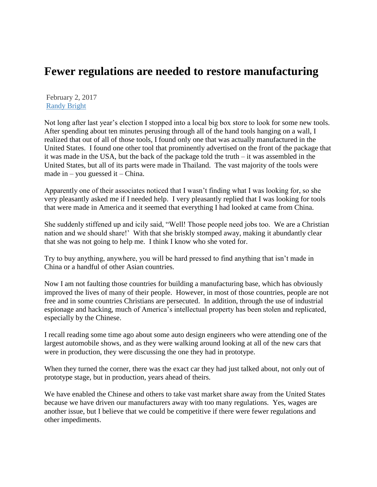## **Fewer regulations are needed to restore manufacturing**

February 2, 2017 [Randy Bright](http://tulsabeacon.com/author/randy-bright/)

Not long after last year's election I stopped into a local big box store to look for some new tools. After spending about ten minutes perusing through all of the hand tools hanging on a wall, I realized that out of all of those tools, I found only one that was actually manufactured in the United States. I found one other tool that prominently advertised on the front of the package that it was made in the USA, but the back of the package told the truth – it was assembled in the United States, but all of its parts were made in Thailand. The vast majority of the tools were made in – you guessed it – China.

Apparently one of their associates noticed that I wasn't finding what I was looking for, so she very pleasantly asked me if I needed help. I very pleasantly replied that I was looking for tools that were made in America and it seemed that everything I had looked at came from China.

She suddenly stiffened up and icily said, "Well! Those people need jobs too. We are a Christian nation and we should share!' With that she briskly stomped away, making it abundantly clear that she was not going to help me. I think I know who she voted for.

Try to buy anything, anywhere, you will be hard pressed to find anything that isn't made in China or a handful of other Asian countries.

Now I am not faulting those countries for building a manufacturing base, which has obviously improved the lives of many of their people. However, in most of those countries, people are not free and in some countries Christians are persecuted. In addition, through the use of industrial espionage and hacking, much of America's intellectual property has been stolen and replicated, especially by the Chinese.

I recall reading some time ago about some auto design engineers who were attending one of the largest automobile shows, and as they were walking around looking at all of the new cars that were in production, they were discussing the one they had in prototype.

When they turned the corner, there was the exact car they had just talked about, not only out of prototype stage, but in production, years ahead of theirs.

We have enabled the Chinese and others to take vast market share away from the United States because we have driven our manufacturers away with too many regulations. Yes, wages are another issue, but I believe that we could be competitive if there were fewer regulations and other impediments.